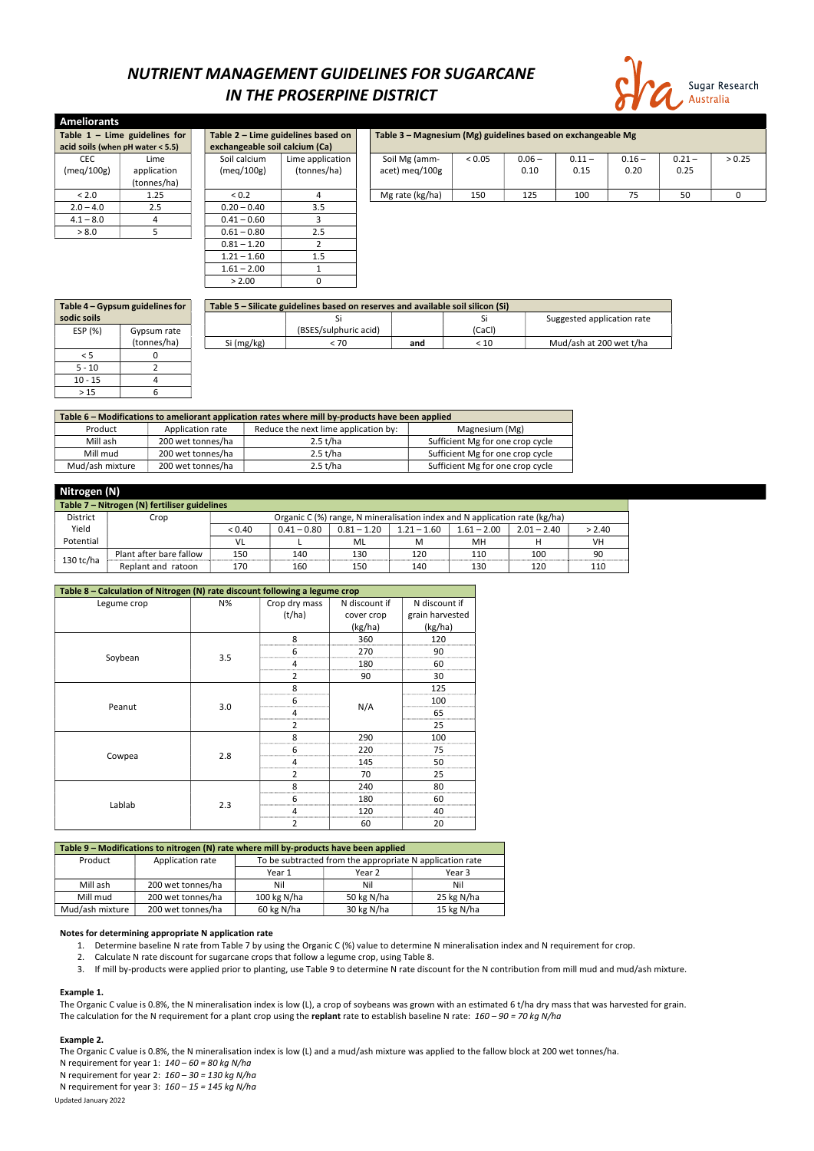# NUTRIENT MANAGEMENT GUIDELINES FOR SUGARCANE IN THE PROSERPINE DISTRICT



| <b>Ameliorants</b>                                                    |                                  |  |                                                              |                  |                 |        |          |          |          |          |        |
|-----------------------------------------------------------------------|----------------------------------|--|--------------------------------------------------------------|------------------|-----------------|--------|----------|----------|----------|----------|--------|
| Table $1 -$ Lime guidelines for<br>Table 2 - Lime guidelines based on |                                  |  | Table 3 - Magnesium (Mg) guidelines based on exchangeable Mg |                  |                 |        |          |          |          |          |        |
|                                                                       | acid soils (when pH water < 5.5) |  | exchangeable soil calcium (Ca)                               |                  |                 |        |          |          |          |          |        |
| <b>CEC</b>                                                            | Lime                             |  | Soil calcium                                                 | Lime application | Soil Mg (amm-   | < 0.05 | $0.06 -$ | $0.11 -$ | $0.16 -$ | $0.21 -$ | > 0.25 |
| (meq/100g)                                                            | application                      |  | (meq/100g)                                                   | (tonnes/ha)      | acet) meg/100g  |        | 0.10     | 0.15     | 0.20     | 0.25     |        |
|                                                                       | (tonnes/ha)                      |  |                                                              |                  |                 |        |          |          |          |          |        |
| < 2.0                                                                 | 1.25                             |  | ${}_{0.2}$                                                   | 4                | Mg rate (kg/ha) | 150    | 125      | 100      | 75       | 50       | 0      |
| $2.0 - 4.0$                                                           | 2.5                              |  | $0.20 - 0.40$                                                | 3.5              |                 |        |          |          |          |          |        |
| $4.1 - 8.0$                                                           |                                  |  | $0.41 - 0.60$                                                |                  |                 |        |          |          |          |          |        |
| > 8.0                                                                 |                                  |  | $0.61 - 0.80$                                                | 2.5              |                 |        |          |          |          |          |        |
|                                                                       |                                  |  | $0.81 - 1.20$                                                |                  |                 |        |          |          |          |          |        |
|                                                                       |                                  |  | $1.21 - 1.60$                                                | 1.5              |                 |        |          |          |          |          |        |
|                                                                       |                                  |  | $1.61 - 2.00$                                                |                  |                 |        |          |          |          |          |        |

| Table 4 – Gypsum guidelines for |             | Table 5 - Silicate guidelines based on reserves and available soil silicon (Si) |                       |     |        |                            |  |  |
|---------------------------------|-------------|---------------------------------------------------------------------------------|-----------------------|-----|--------|----------------------------|--|--|
| sodic soils                     |             |                                                                                 |                       |     | ы      | Suggested application rate |  |  |
| ESP (%)                         | Gypsum rate |                                                                                 | (BSES/sulphuric acid) |     | (CaCl) |                            |  |  |
|                                 | (tonnes/ha) | Si (mg/kg)                                                                      | < 70                  | and | < 10   | Mud/ash at 200 wet t/ha    |  |  |
|                                 |             |                                                                                 |                       |     |        |                            |  |  |
| $5 - 10$                        |             |                                                                                 |                       |     |        |                            |  |  |
| $10 - 15$                       |             |                                                                                 |                       |     |        |                            |  |  |
| >15                             |             |                                                                                 |                       |     |        |                            |  |  |

| Table 6 – Modifications to ameliorant application rates where mill by-products have been applied |                   |                                      |                                  |  |  |  |  |
|--------------------------------------------------------------------------------------------------|-------------------|--------------------------------------|----------------------------------|--|--|--|--|
| Product                                                                                          | Application rate  | Reduce the next lime application by: | Magnesium (Mg)                   |  |  |  |  |
| Mill ash                                                                                         | 200 wet tonnes/ha | 2.5 t/ha                             | Sufficient Mg for one crop cycle |  |  |  |  |
| Mill mud                                                                                         | 200 wet tonnes/ha | 2.5 t/ha                             | Sufficient Mg for one crop cycle |  |  |  |  |
| Mud/ash mixture                                                                                  | 200 wet tonnes/ha | 2.5 t/ha                             | Sufficient Mg for one crop cycle |  |  |  |  |

 $> 2.00$  0

The Organic C value is 0.8%, the N mineralisation index is low (L), a crop of soybeans was grown with an estimated 6 t/ha dry mass that was harvested for grain. The calculation for the N requirement for a plant crop using the replant rate to establish baseline N rate:  $160 - 90 = 70$  kg N/ha

| Nitrogen (N)                                 |                         |        |               |               |                                                                            |               |               |        |
|----------------------------------------------|-------------------------|--------|---------------|---------------|----------------------------------------------------------------------------|---------------|---------------|--------|
| Table 7 - Nitrogen (N) fertiliser guidelines |                         |        |               |               |                                                                            |               |               |        |
| District                                     | Crop                    |        |               |               | Organic C (%) range, N mineralisation index and N application rate (kg/ha) |               |               |        |
| Yield                                        |                         | < 0.40 | $0.41 - 0.80$ | $0.81 - 1.20$ | $1.21 - 1.60$                                                              | $1.61 - 2.00$ | $2.01 - 2.40$ | > 2.40 |
| Potential                                    |                         | VL     |               | ML            | м                                                                          | MН            |               | VH     |
|                                              | Plant after bare fallow | 150    | 140           | 130           | 120                                                                        | 110           | 100           | 90     |
| $130$ tc/ha                                  | Replant and ratoon      | 170    | 160           | 150           | 140                                                                        | 130           | 120           | 110    |

| Table 8 - Calculation of Nitrogen (N) rate discount following a legume crop |     |                |               |                 |  |  |  |  |
|-----------------------------------------------------------------------------|-----|----------------|---------------|-----------------|--|--|--|--|
| Legume crop                                                                 | N%  | Crop dry mass  | N discount if | N discount if   |  |  |  |  |
|                                                                             |     | (t/ha)         | cover crop    | grain harvested |  |  |  |  |
|                                                                             |     |                | (kg/ha)       | (kg/ha)         |  |  |  |  |
|                                                                             |     | 8              | 360           | 120             |  |  |  |  |
|                                                                             |     | 6              | 270           | 90              |  |  |  |  |
| Soybean                                                                     | 3.5 | 4              | 180           | 60              |  |  |  |  |
|                                                                             |     | $\overline{2}$ | 90            | 30              |  |  |  |  |
|                                                                             |     | 8              |               | 125             |  |  |  |  |
|                                                                             |     | 6              |               | 100             |  |  |  |  |
| Peanut                                                                      | 3.0 | 4              | N/A           | 65              |  |  |  |  |
|                                                                             |     | 2              |               | 25              |  |  |  |  |
|                                                                             |     | 8              | 290           | 100             |  |  |  |  |
|                                                                             | 2.8 | 6              | 220           | 75              |  |  |  |  |
| Cowpea                                                                      |     | 4              | 145           | 50              |  |  |  |  |
|                                                                             |     | $\overline{2}$ | 70            | 25              |  |  |  |  |
|                                                                             |     | 8              | 240           | 80              |  |  |  |  |
|                                                                             |     | 6              | 180           | 60              |  |  |  |  |
| Lablab                                                                      | 2.3 | 4              | 120           | 40              |  |  |  |  |
|                                                                             |     | $\overline{2}$ | 60            | 20              |  |  |  |  |

| Table 9 - Modifications to nitrogen (N) rate where mill by-products have been applied |                                                                              |  |  |  |  |  |  |
|---------------------------------------------------------------------------------------|------------------------------------------------------------------------------|--|--|--|--|--|--|
| Product                                                                               | To be subtracted from the appropriate N application rate<br>Application rate |  |  |  |  |  |  |

|                 |                   | Year 1        | Year 2     | Year 3     |
|-----------------|-------------------|---------------|------------|------------|
| Mill ash        | 200 wet tonnes/ha | Nil           | Nil        | Nil        |
| Mill mud        | 200 wet tonnes/ha | 100 kg $N/ha$ | 50 kg N/ha | 25 kg N/ha |
| Mud/ash mixture | 200 wet tonnes/ha | 60 kg N/ha    | 30 kg N/ha | 15 kg N/ha |

#### Notes for determining appropriate N application rate

- 1. Determine baseline N rate from Table 7 by using the Organic C (%) value to determine N mineralisation index and N requirement for crop.
- 2. Calculate N rate discount for sugarcane crops that follow a legume crop, using Table 8.
- 3. If mill by-products were applied prior to planting, use Table 9 to determine N rate discount for the N contribution from mill mud and mud/ash mixture.

### Example 1.

#### Example 2.

Updated January 2022 The Organic C value is 0.8%, the N mineralisation index is low (L) and a mud/ash mixture was applied to the fallow block at 200 wet tonnes/ha. N requirement for year 1:  $140 - 60 = 80$  kg N/ha N requirement for year 2:  $160 - 30 = 130$  kg N/ha N requirement for year 3:  $160 - 15 = 145$  kg N/ha